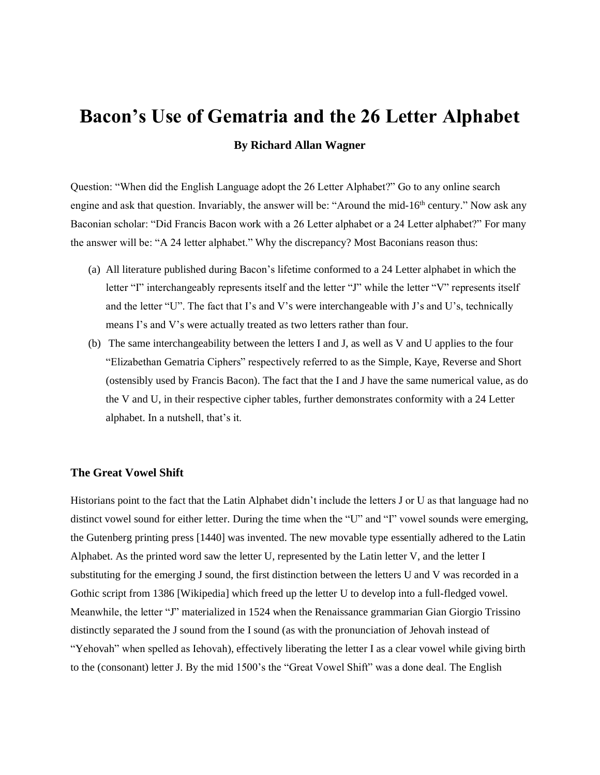# **Bacon's Use of Gematria and the 26 Letter Alphabet**

# **By Richard Allan Wagner**

Question: "When did the English Language adopt the 26 Letter Alphabet?" Go to any online search engine and ask that question. Invariably, the answer will be: "Around the mid-16<sup>th</sup> century." Now ask any Baconian scholar: "Did Francis Bacon work with a 26 Letter alphabet or a 24 Letter alphabet?" For many the answer will be: "A 24 letter alphabet." Why the discrepancy? Most Baconians reason thus:

- (a) All literature published during Bacon's lifetime conformed to a 24 Letter alphabet in which the letter "I" interchangeably represents itself and the letter "J" while the letter "V" represents itself and the letter "U". The fact that I's and V's were interchangeable with J's and U's, technically means I's and V's were actually treated as two letters rather than four.
- (b) The same interchangeability between the letters I and J, as well as V and U applies to the four "Elizabethan Gematria Ciphers" respectively referred to as the Simple, Kaye, Reverse and Short (ostensibly used by Francis Bacon). The fact that the I and J have the same numerical value, as do the V and U, in their respective cipher tables, further demonstrates conformity with a 24 Letter alphabet. In a nutshell, that's it.

#### **The Great Vowel Shift**

Historians point to the fact that the Latin Alphabet didn't include the letters J or U as that language had no distinct vowel sound for either letter. During the time when the "U" and "I" vowel sounds were emerging, the Gutenberg printing press [1440] was invented. The new movable type essentially adhered to the Latin Alphabet. As the printed word saw the letter U, represented by the Latin letter V, and the letter I substituting for the emerging J sound, the first distinction between the letters U and V was recorded in a Gothic script from 1386 [Wikipedia] which freed up the letter U to develop into a full-fledged vowel. Meanwhile, the letter "J" materialized in 1524 when the Renaissance grammarian Gian Giorgio Trissino distinctly separated the J sound from the I sound (as with the pronunciation of Jehovah instead of "Yehovah" when spelled as Iehovah), effectively liberating the letter I as a clear vowel while giving birth to the (consonant) letter J. By the mid 1500's the "Great Vowel Shift" was a done deal. The English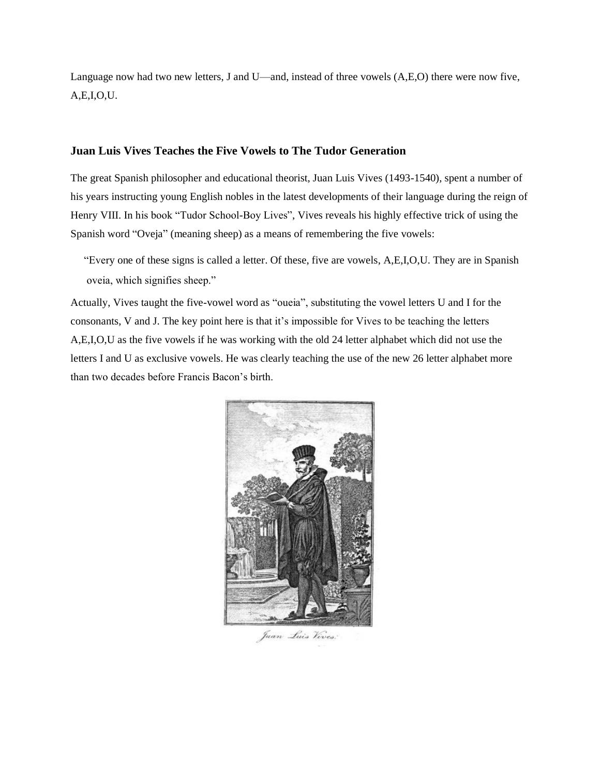Language now had two new letters, J and U—and, instead of three vowels (A,E,O) there were now five, A,E,I,O,U.

## **Juan Luis Vives Teaches the Five Vowels to The Tudor Generation**

The great Spanish philosopher and educational theorist, Juan Luis Vives (1493-1540), spent a number of his years instructing young English nobles in the latest developments of their language during the reign of Henry VIII. In his book "Tudor School-Boy Lives", Vives reveals his highly effective trick of using the Spanish word "Oveja" (meaning sheep) as a means of remembering the five vowels:

 "Every one of these signs is called a letter. Of these, five are vowels, A,E,I,O,U. They are in Spanish oveia, which signifies sheep."

Actually, Vives taught the five-vowel word as "oueia", substituting the vowel letters U and I for the consonants, V and J. The key point here is that it's impossible for Vives to be teaching the letters A,E,I,O,U as the five vowels if he was working with the old 24 letter alphabet which did not use the letters I and U as exclusive vowels. He was clearly teaching the use of the new 26 letter alphabet more than two decades before Francis Bacon's birth.



Juan Luis Vives: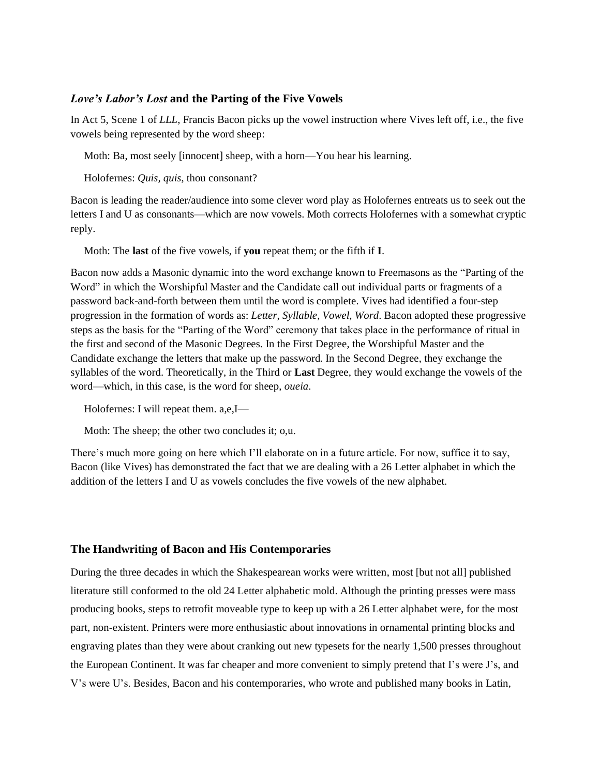### *Love's Labor's Lost* **and the Parting of the Five Vowels**

In Act 5, Scene 1 of *LLL*, Francis Bacon picks up the vowel instruction where Vives left off, i.e., the five vowels being represented by the word sheep:

Moth: Ba, most seely [innocent] sheep, with a horn—You hear his learning.

Holofernes: *Quis, quis*, thou consonant?

Bacon is leading the reader/audience into some clever word play as Holofernes entreats us to seek out the letters I and U as consonants—which are now vowels. Moth corrects Holofernes with a somewhat cryptic reply.

Moth: The **last** of the five vowels, if **you** repeat them; or the fifth if **I**.

Bacon now adds a Masonic dynamic into the word exchange known to Freemasons as the "Parting of the Word" in which the Worshipful Master and the Candidate call out individual parts or fragments of a password back-and-forth between them until the word is complete. Vives had identified a four-step progression in the formation of words as: *Letter, Syllable, Vowel, Word*. Bacon adopted these progressive steps as the basis for the "Parting of the Word" ceremony that takes place in the performance of ritual in the first and second of the Masonic Degrees. In the First Degree, the Worshipful Master and the Candidate exchange the letters that make up the password. In the Second Degree, they exchange the syllables of the word. Theoretically, in the Third or **Last** Degree, they would exchange the vowels of the word—which, in this case, is the word for sheep, *oueia*.

Holofernes: I will repeat them. a,e,I—

Moth: The sheep; the other two concludes it; o,u.

There's much more going on here which I'll elaborate on in a future article. For now, suffice it to say, Bacon (like Vives) has demonstrated the fact that we are dealing with a 26 Letter alphabet in which the addition of the letters I and U as vowels concludes the five vowels of the new alphabet.

#### **The Handwriting of Bacon and His Contemporaries**

During the three decades in which the Shakespearean works were written, most [but not all] published literature still conformed to the old 24 Letter alphabetic mold. Although the printing presses were mass producing books, steps to retrofit moveable type to keep up with a 26 Letter alphabet were, for the most part, non-existent. Printers were more enthusiastic about innovations in ornamental printing blocks and engraving plates than they were about cranking out new typesets for the nearly 1,500 presses throughout the European Continent. It was far cheaper and more convenient to simply pretend that I's were J's, and V's were U's. Besides, Bacon and his contemporaries, who wrote and published many books in Latin,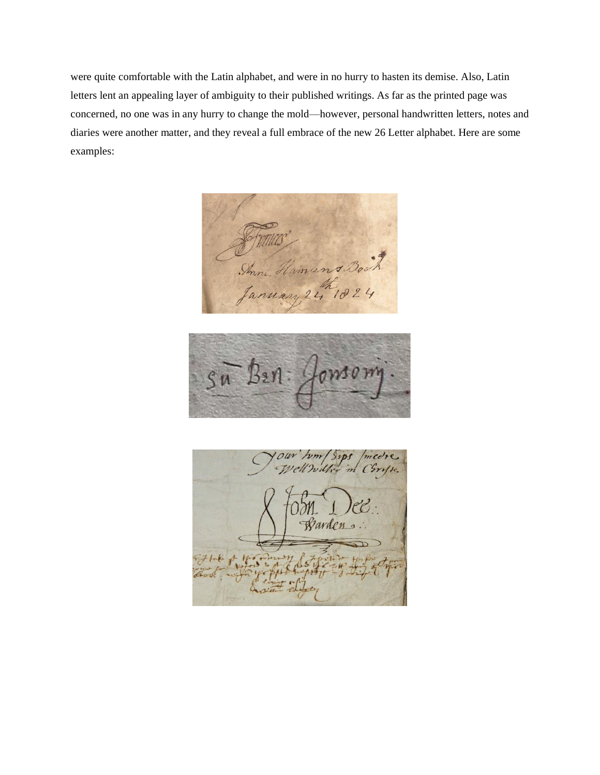were quite comfortable with the Latin alphabet, and were in no hurry to hasten its demise. Also, Latin letters lent an appealing layer of ambiguity to their published writings. As far as the printed page was concerned, no one was in any hurry to change the mold—however, personal handwritten letters, notes and diaries were another matter, and they reveal a full embrace of the new 26 Letter alphabet. Here are some examples:

Shim Hamlens many 24 18



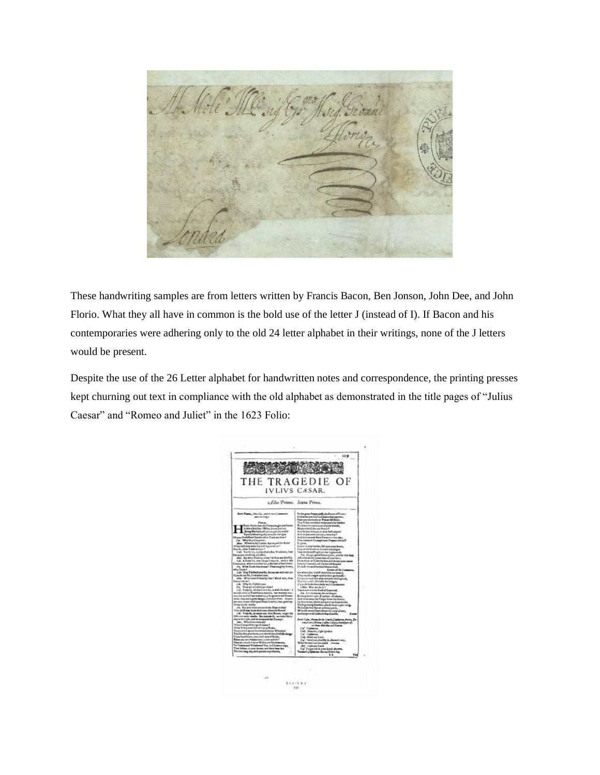

These handwriting samples are from letters written by Francis Bacon, Ben Jonson, John Dee, and John Florio. What they all have in common is the bold use of the letter J (instead of I). If Bacon and his contemporaries were adhering only to the old 24 letter alphabet in their writings, none of the J letters would be present.

Despite the use of the 26 Letter alphabet for handwritten notes and correspondence, the printing presses kept churning out text in compliance with the old alphabet as demonstrated in the title pages of "Julius Caesar" and "Romeo and Juliet" in the 1623 Folio:

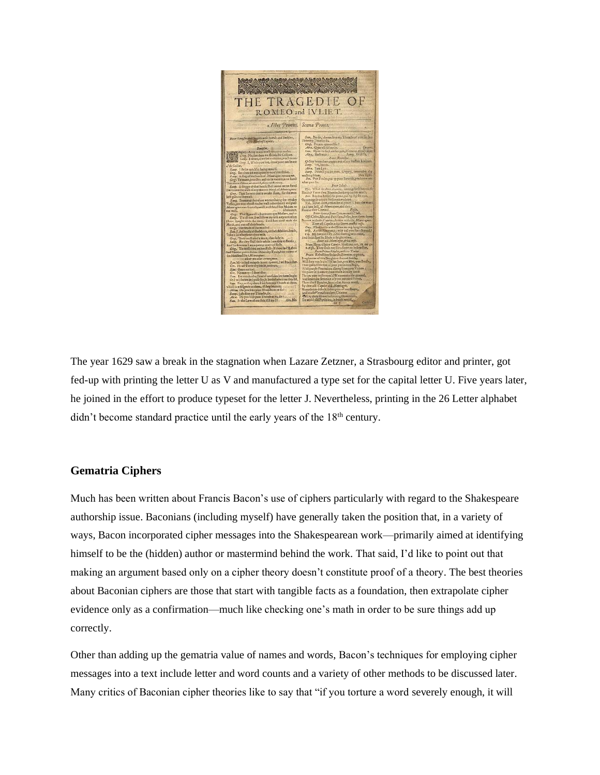

The year 1629 saw a break in the stagnation when Lazare Zetzner, a Strasbourg editor and printer, got fed-up with printing the letter U as V and manufactured a type set for the capital letter U. Five years later, he joined in the effort to produce typeset for the letter J. Nevertheless, printing in the 26 Letter alphabet didn't become standard practice until the early years of the  $18<sup>th</sup>$  century.

## **Gematria Ciphers**

Much has been written about Francis Bacon's use of ciphers particularly with regard to the Shakespeare authorship issue. Baconians (including myself) have generally taken the position that, in a variety of ways, Bacon incorporated cipher messages into the Shakespearean work—primarily aimed at identifying himself to be the (hidden) author or mastermind behind the work. That said, I'd like to point out that making an argument based only on a cipher theory doesn't constitute proof of a theory. The best theories about Baconian ciphers are those that start with tangible facts as a foundation, then extrapolate cipher evidence only as a confirmation—much like checking one's math in order to be sure things add up correctly.

Other than adding up the gematria value of names and words, Bacon's techniques for employing cipher messages into a text include letter and word counts and a variety of other methods to be discussed later. Many critics of Baconian cipher theories like to say that "if you torture a word severely enough, it will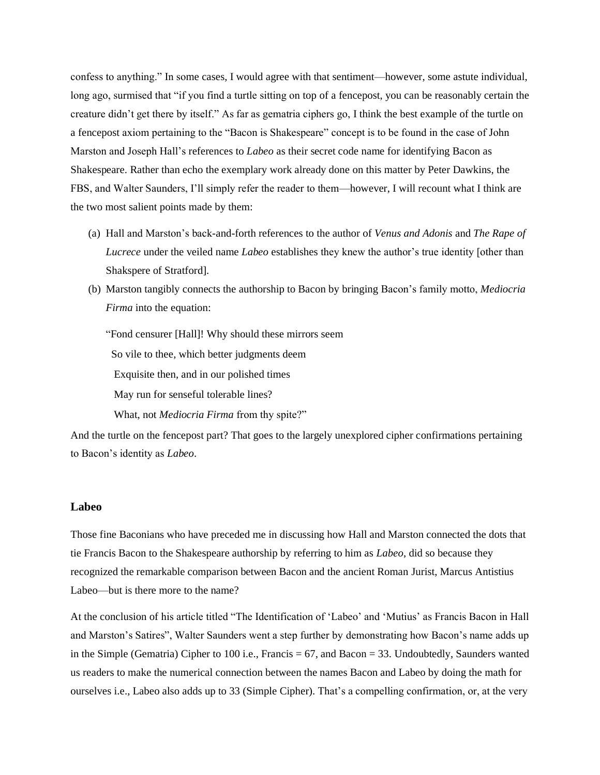confess to anything." In some cases, I would agree with that sentiment—however, some astute individual, long ago, surmised that "if you find a turtle sitting on top of a fencepost, you can be reasonably certain the creature didn't get there by itself." As far as gematria ciphers go, I think the best example of the turtle on a fencepost axiom pertaining to the "Bacon is Shakespeare" concept is to be found in the case of John Marston and Joseph Hall's references to *Labeo* as their secret code name for identifying Bacon as Shakespeare. Rather than echo the exemplary work already done on this matter by Peter Dawkins, the FBS, and Walter Saunders, I'll simply refer the reader to them—however, I will recount what I think are the two most salient points made by them:

- (a) Hall and Marston's back-and-forth references to the author of *Venus and Adonis* and *The Rape of Lucrece* under the veiled name *Labeo* establishes they knew the author's true identity [other than Shakspere of Stratford].
- (b) Marston tangibly connects the authorship to Bacon by bringing Bacon's family motto, *Mediocria Firma* into the equation:

"Fond censurer [Hall]! Why should these mirrors seem So vile to thee, which better judgments deem Exquisite then, and in our polished times May run for senseful tolerable lines?

What, not *Mediocria Firma* from thy spite?"

And the turtle on the fencepost part? That goes to the largely unexplored cipher confirmations pertaining to Bacon's identity as *Labeo*.

#### **Labeo**

Those fine Baconians who have preceded me in discussing how Hall and Marston connected the dots that tie Francis Bacon to the Shakespeare authorship by referring to him as *Labeo*, did so because they recognized the remarkable comparison between Bacon and the ancient Roman Jurist, Marcus Antistius Labeo—but is there more to the name?

At the conclusion of his article titled "The Identification of 'Labeo' and 'Mutius' as Francis Bacon in Hall and Marston's Satires", Walter Saunders went a step further by demonstrating how Bacon's name adds up in the Simple (Gematria) Cipher to 100 i.e., Francis = 67, and Bacon = 33. Undoubtedly, Saunders wanted us readers to make the numerical connection between the names Bacon and Labeo by doing the math for ourselves i.e., Labeo also adds up to 33 (Simple Cipher). That's a compelling confirmation, or, at the very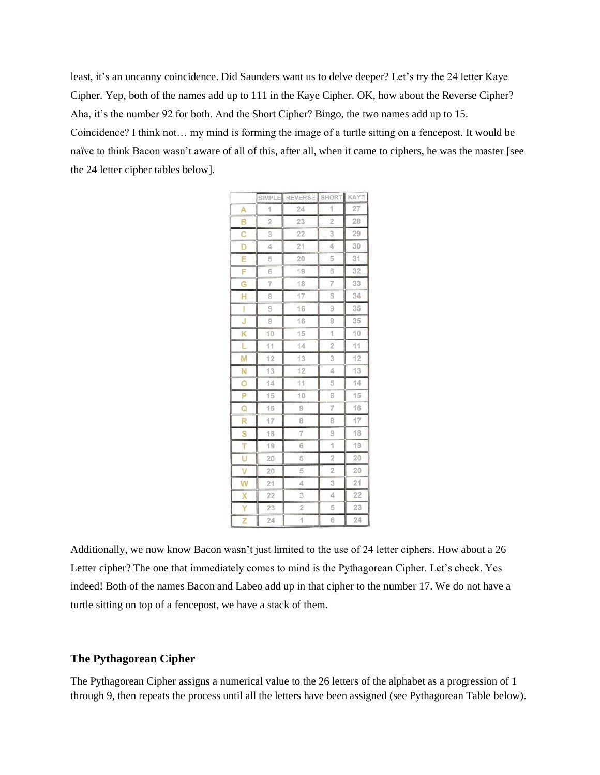least, it's an uncanny coincidence. Did Saunders want us to delve deeper? Let's try the 24 letter Kaye Cipher. Yep, both of the names add up to 111 in the Kaye Cipher. OK, how about the Reverse Cipher? Aha, it's the number 92 for both. And the Short Cipher? Bingo, the two names add up to 15. Coincidence? I think not… my mind is forming the image of a turtle sitting on a fencepost. It would be naïve to think Bacon wasn't aware of all of this, after all, when it came to ciphers, he was the master [see the 24 letter cipher tables below].

|   |                | SIMPLE REVERSE SHORT |                | KAYE |
|---|----------------|----------------------|----------------|------|
| A | 1              | 24                   | 1              | 27   |
| B | $\overline{2}$ | 23                   | $\overline{2}$ | 28   |
| C | 3              | 22                   | 3              | 29   |
| D | 4              | 21                   | 4              | 30   |
| E | 5              | 20                   | 5              | 31   |
| F | 6              | 19                   | 6              | 32   |
| Ġ | 7              | 18                   | $\overline{7}$ | 33   |
| Ĥ | 8              | 17                   | 8              | 34   |
| I | 9              | 16                   | 9              | 35   |
| J | $\overline{9}$ | 16                   | 9              | 35   |
| Κ | 10             | 15                   | 1              | 10   |
| Ľ | 11             | 14                   | $\overline{2}$ | 11   |
| M | 12             | 13                   | 3              | 12   |
| N | 13             | 12                   | 4              | 13   |
| Ö | 14             | 11                   | 5              | 14   |
| P | 15             | 10                   | 6              | 15   |
| Q | 16             | 9                    | 7              | 16   |
| R | 17             | 8                    | 8              | 17   |
| S | 18             | $\overline{7}$       | 9              | 18   |
| T | 19             | 6                    | 1              | 19   |
| U | 20             | 5                    | $\overline{2}$ | 20   |
| V | 20             | 5                    | $\overline{c}$ | 20   |
| W | 21             | 4                    | 3              | 21   |
| Х | 22             | 3                    | 4              | 22   |
| Y | 23             | $\overline{c}$       | 5              | 23   |
| Z | 24             | 1                    | 6              | 24   |

Additionally, we now know Bacon wasn't just limited to the use of 24 letter ciphers. How about a 26 Letter cipher? The one that immediately comes to mind is the Pythagorean Cipher. Let's check. Yes indeed! Both of the names Bacon and Labeo add up in that cipher to the number 17. We do not have a turtle sitting on top of a fencepost, we have a stack of them.

### **The Pythagorean Cipher**

The Pythagorean Cipher assigns a numerical value to the 26 letters of the alphabet as a progression of 1 through 9, then repeats the process until all the letters have been assigned (see Pythagorean Table below).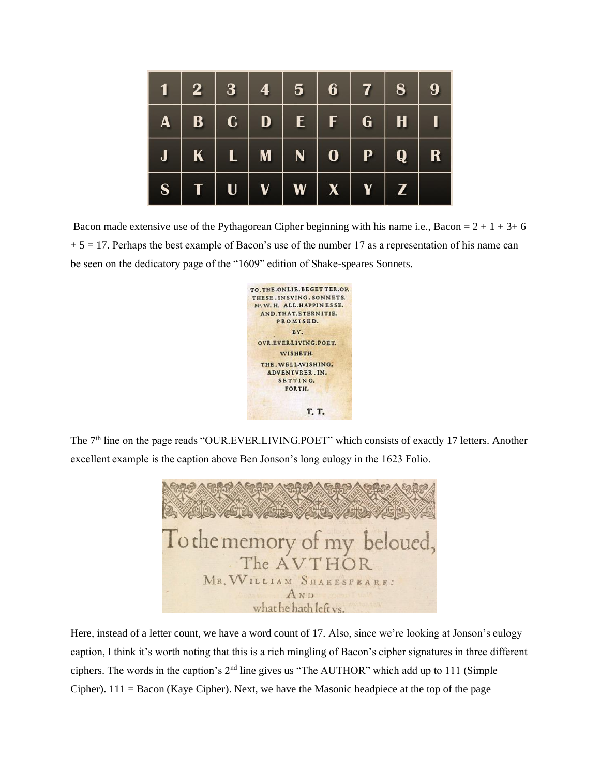|                |              | $1 \ 2 \ 3 \ 4 \ 5 \ 6 \ 7 \ 8 \ 9$                         |  |                |  |
|----------------|--------------|-------------------------------------------------------------|--|----------------|--|
|                |              | $A \mid B \mid C \mid D \mid E \mid F \mid G \mid H \mid I$ |  |                |  |
|                |              |                                                             |  |                |  |
| S <sub>1</sub> | $\mathbf{U}$ | V W X                                                       |  | $\overline{Z}$ |  |

Bacon made extensive use of the Pythagorean Cipher beginning with his name i.e., Bacon =  $2 + 1 + 3 + 6$  $+ 5 = 17$ . Perhaps the best example of Bacon's use of the number 17 as a representation of his name can be seen on the dedicatory page of the "1609" edition of Shake-speares Sonnets.



The 7<sup>th</sup> line on the page reads "OUR.EVER.LIVING.POET" which consists of exactly 17 letters. Another excellent example is the caption above Ben Jonson's long eulogy in the 1623 Folio.



Here, instead of a letter count, we have a word count of 17. Also, since we're looking at Jonson's eulogy caption, I think it's worth noting that this is a rich mingling of Bacon's cipher signatures in three different ciphers. The words in the caption's  $2<sup>nd</sup>$  line gives us "The AUTHOR" which add up to 111 (Simple Cipher). 111 = Bacon (Kaye Cipher). Next, we have the Masonic headpiece at the top of the page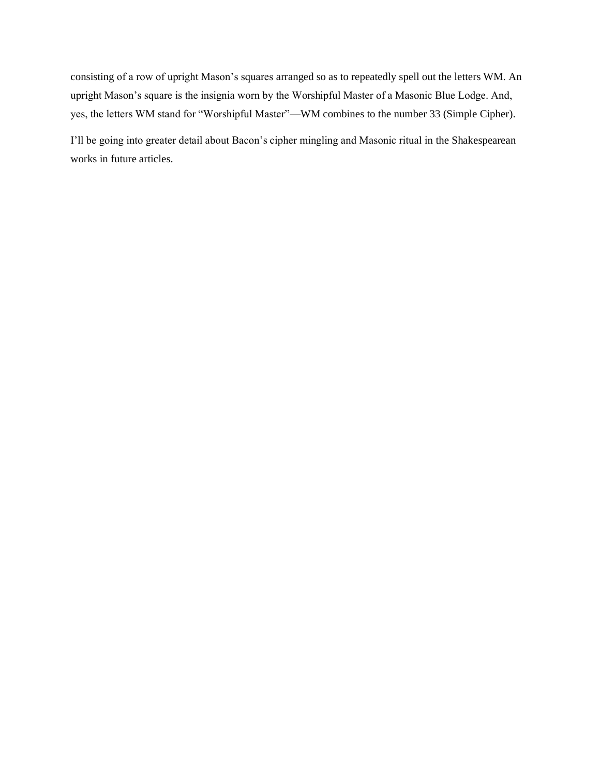consisting of a row of upright Mason's squares arranged so as to repeatedly spell out the letters WM. An upright Mason's square is the insignia worn by the Worshipful Master of a Masonic Blue Lodge. And, yes, the letters WM stand for "Worshipful Master"—WM combines to the number 33 (Simple Cipher).

I'll be going into greater detail about Bacon's cipher mingling and Masonic ritual in the Shakespearean works in future articles.